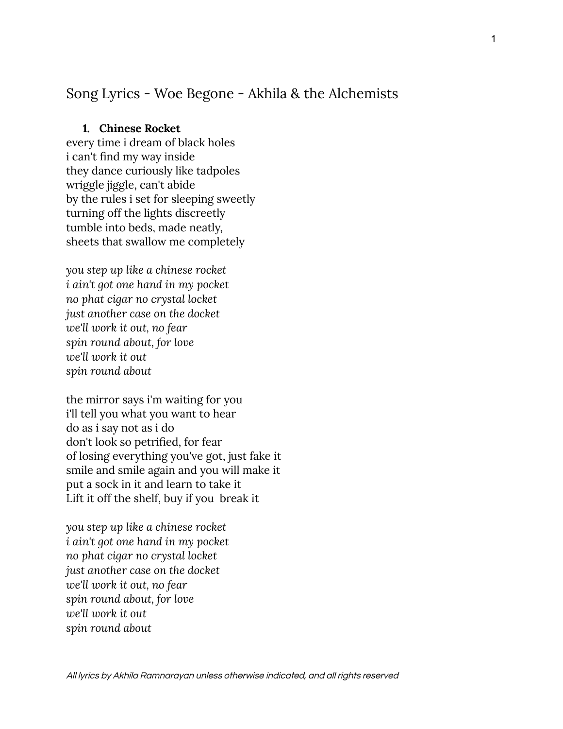# Song Lyrics - Woe Begone - Akhila & the Alchemists

# **1. Chinese Rocket**

every time i dream of black holes i can't find my way inside they dance curiously like tadpoles wriggle jiggle, can't abide by the rules i set for sleeping sweetly turning off the lights discreetly tumble into beds, made neatly, sheets that swallow me completely

*you step up like a chinese rocket i ain't got one hand in my pocket no phat cigar no crystal locket just another case on the docket we'll work it out, no fear spin round about, for love we'll work it out spin round about*

the mirror says i'm waiting for you i'll tell you what you want to hear do as i say not as i do don't look so petrified, for fear of losing everything you've got, just fake it smile and smile again and you will make it put a sock in it and learn to take it Lift it off the shelf, buy if you break it

*you step up like a chinese rocket i ain't got one hand in my pocket no phat cigar no crystal locket just another case on the docket we'll work it out, no fear spin round about, for love we'll work it out spin round about*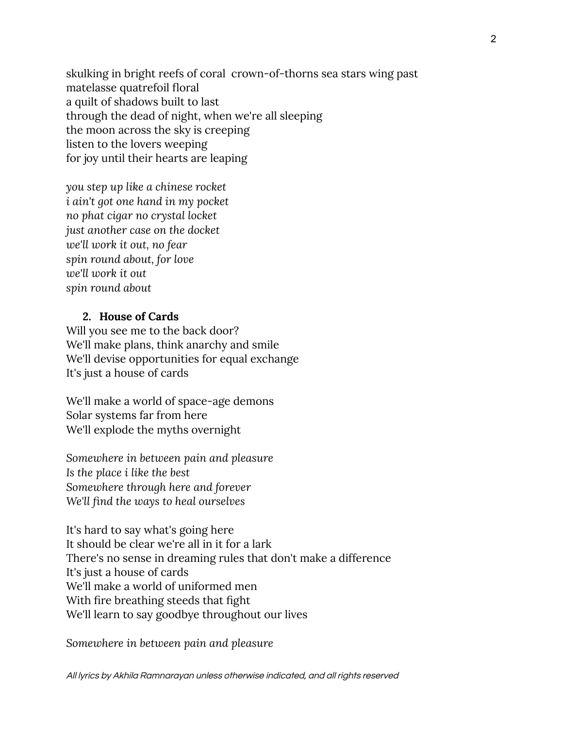skulking in bright reefs of coral crown-of-thorns sea stars wing past matelasse quatrefoil floral a quilt of shadows built to last through the dead of night, when we're all sleeping the moon across the sky is creeping listen to the lovers weeping for joy until their hearts are leaping

*you step up like a chinese rocket i ain't got one hand in my pocket no phat cigar no crystal locket just another case on the docket we'll work it out, no fear spin round about, for love we'll work it out spin round about*

### **2. House of Cards**

Will you see me to the back door? We'll make plans, think anarchy and smile We'll devise opportunities for equal exchange It's just a house of cards

We'll make a world of space-age demons Solar systems far from here We'll explode the myths overnight

*Somewhere in between pain and pleasure Is the place i like the best Somewhere through here and forever We'll find the ways to heal ourselves*

It's hard to say what's going here It should be clear we're all in it for a lark There's no sense in dreaming rules that don't make a difference It's just a house of cards We'll make a world of uniformed men With fire breathing steeds that fight We'll learn to say goodbye throughout our lives

*Somewhere in between pain and pleasure*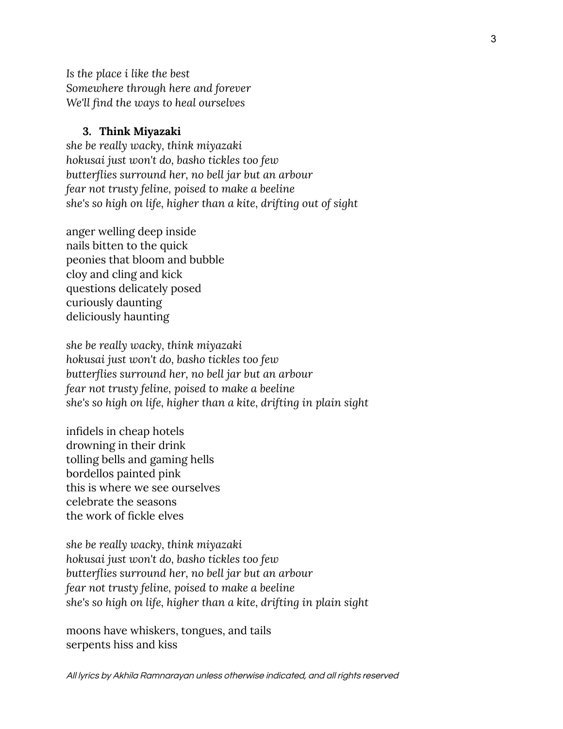*Is the place i like the best Somewhere through here and forever We'll find the ways to heal ourselves*

#### **3. Think Miyazaki**

*she be really wacky, think miyazaki hokusai just won't do, basho tickles too few butterflies surround her, no bell jar but an arbour fear not trusty feline, poised to make a beeline she's so high on life, higher than a kite, drifting out of sight*

anger welling deep inside nails bitten to the quick peonies that bloom and bubble cloy and cling and kick questions delicately posed curiously daunting deliciously haunting

*she be really wacky, think miyazaki hokusai just won't do, basho tickles too few butterflies surround her, no bell jar but an arbour fear not trusty feline, poised to make a beeline she's so high on life, higher than a kite, drifting in plain sight*

infidels in cheap hotels drowning in their drink tolling bells and gaming hells bordellos painted pink this is where we see ourselves celebrate the seasons the work of fickle elves

*she be really wacky, think miyazaki hokusai just won't do, basho tickles too few butterflies surround her, no bell jar but an arbour fear not trusty feline, poised to make a beeline she's so high on life, higher than a kite, drifting in plain sight*

moons have whiskers, tongues, and tails serpents hiss and kiss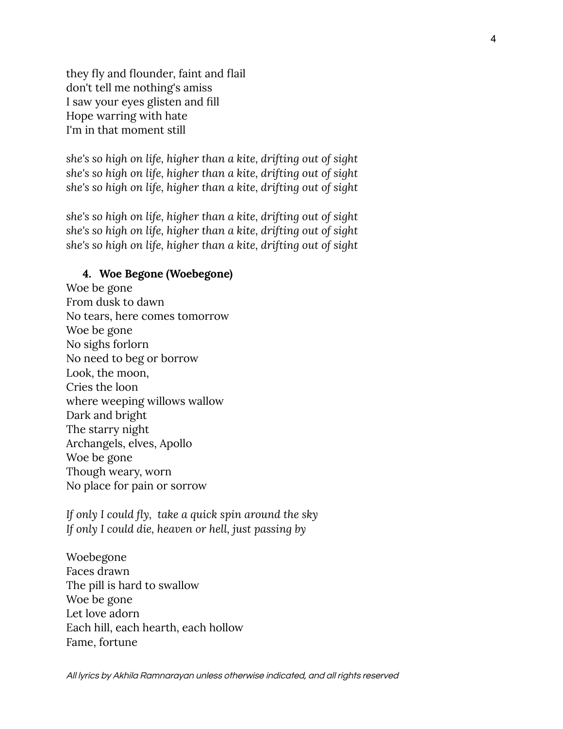they fly and flounder, faint and flail don't tell me nothing's amiss I saw your eyes glisten and fill Hope warring with hate I'm in that moment still

*she's so high on life, higher than a kite, drifting out of sight she's so high on life, higher than a kite, drifting out of sight she's so high on life, higher than a kite, drifting out of sight*

*she's so high on life, higher than a kite, drifting out of sight she's so high on life, higher than a kite, drifting out of sight she's so high on life, higher than a kite, drifting out of sight*

# **4. Woe Begone (Woebegone)**

Woe be gone From dusk to dawn No tears, here comes tomorrow Woe be gone No sighs forlorn No need to beg or borrow Look, the moon, Cries the loon where weeping willows wallow Dark and bright The starry night Archangels, elves, Apollo Woe be gone Though weary, worn No place for pain or sorrow

*If only I could fly, take a quick spin around the sky If only I could die, heaven or hell, just passing by*

Woebegone Faces drawn The pill is hard to swallow Woe be gone Let love adorn Each hill, each hearth, each hollow Fame, fortune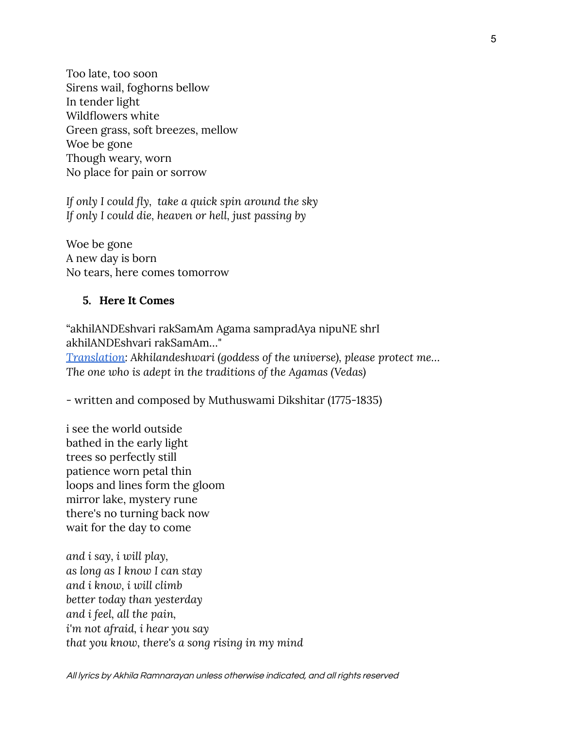Too late, too soon Sirens wail, foghorns bellow In tender light Wildflowers white Green grass, soft breezes, mellow Woe be gone Though weary, worn No place for pain or sorrow

*If only I could fly, take a quick spin around the sky If only I could die, heaven or hell, just passing by*

Woe be gone A new day is born No tears, here comes tomorrow

# **5. Here It Comes**

"akhilANDEshvari rakSamAm Agama sampradAya nipuNE shrI akhilANDEshvari rakSamAm…" *[Translation:](https://karnatik.com/c1481.shtml) Akhilandeshwari (goddess of the universe), please protect me… The one who is adept in the traditions of the Agamas (Vedas)*

- written and composed by Muthuswami Dikshitar (1775-1835)

i see the world outside bathed in the early light trees so perfectly still patience worn petal thin loops and lines form the gloom mirror lake, mystery rune there's no turning back now wait for the day to come

*and i say, i will play, as long as I know I can stay and i know, i will climb better today than yesterday and i feel, all the pain, i'm not afraid, i hear you say that you know, there's a song rising in my mind*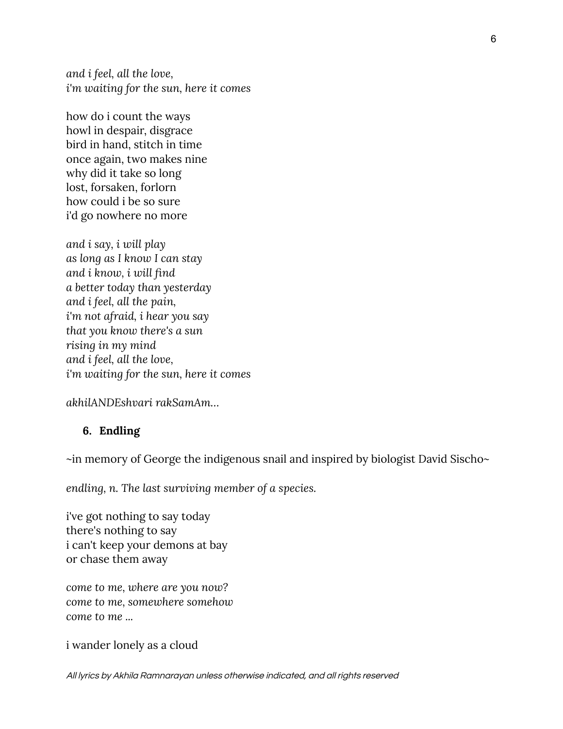*and i feel, all the love, i'm waiting for the sun, here it comes*

how do i count the ways howl in despair, disgrace bird in hand, stitch in time once again, two makes nine why did it take so long lost, forsaken, forlorn how could i be so sure i'd go nowhere no more

*and i say, i will play as long as I know I can stay and i know, i will find a better today than yesterday and i feel, all the pain, i'm not afraid, i hear you say that you know there's a sun rising in my mind and i feel, all the love, i'm waiting for the sun, here it comes*

*akhilANDEshvari rakSamAm…*

# **6. Endling**

~in memory of George the indigenous snail and inspired by biologist David Sischo~

*endling, n. The last surviving member of a species.*

i've got nothing to say today there's nothing to say i can't keep your demons at bay or chase them away

*come to me, where are you now? come to me, somewhere somehow come to me ...*

i wander lonely as a cloud

All lyrics by Akhila Ramnarayan unless otherwise indicated, and all rights reserved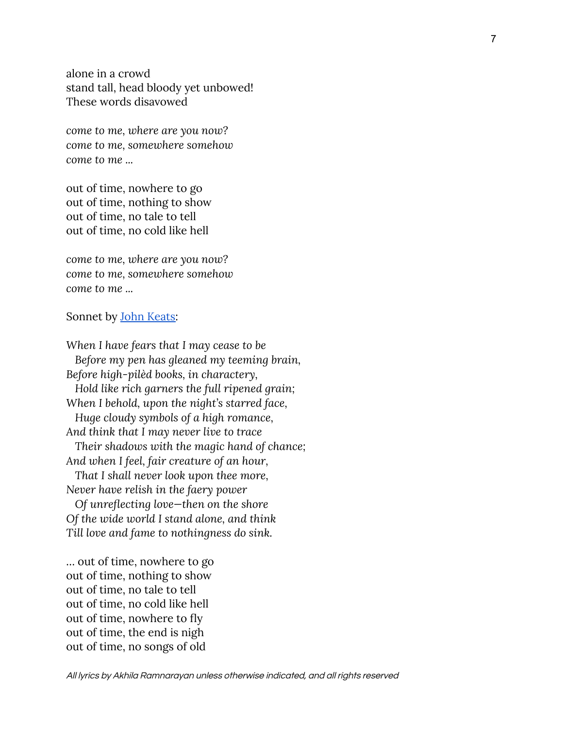alone in a crowd stand tall, head bloody yet unbowed! These words disavowed

*come to me, where are you now? come to me, somewhere somehow come to me ...*

out of time, nowhere to go out of time, nothing to show out of time, no tale to tell out of time, no cold like hell

*come to me, where are you now? come to me, somewhere somehow come to me ...*

#### Sonnet by <u>John Keats</u>:

*When I have fears that I may cease to be Before my pen has gleaned my teeming brain, Before high-pilèd books, in charactery, Hold like rich garners the full ripened grain; When I behold, upon the night's starred face, Huge cloudy symbols of a high romance, And think that I may never live to trace Their shadows with the magic hand of chance; And when I feel, fair creature of an hour, That I shall never look upon thee more, Never have relish in the faery power Of unreflecting love—then on the shore Of the wide world I stand alone, and think*

*Till love and fame to nothingness do sink.*

… out of time, nowhere to go out of time, nothing to show out of time, no tale to tell out of time, no cold like hell out of time, nowhere to fly out of time, the end is nigh out of time, no songs of old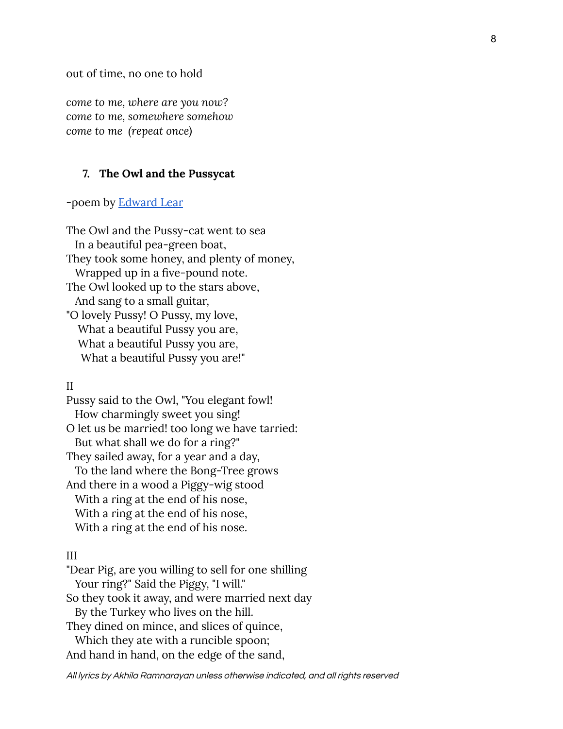out of time, no one to hold

*come to me, where are you now? come to me, somewhere somehow come to me (repeat once)*

#### **7. The Owl and the Pussycat**

-poem by **[Edward](https://www.poetryfoundation.org/poems/43188/the-owl-and-the-pussy-cat) Lear** 

The Owl and the Pussy-cat went to sea In a beautiful pea-green boat, They took some honey, and plenty of money, Wrapped up in a five-pound note. The Owl looked up to the stars above, And sang to a small guitar, "O lovely Pussy! O Pussy, my love, What a beautiful Pussy you are, What a beautiful Pussy you are, What a beautiful Pussy you are!"

### II

Pussy said to the Owl, "You elegant fowl! How charmingly sweet you sing! O let us be married! too long we have tarried: But what shall we do for a ring?" They sailed away, for a year and a day, To the land where the Bong-Tree grows And there in a wood a Piggy-wig stood With a ring at the end of his nose, With a ring at the end of his nose, With a ring at the end of his nose.

### III

"Dear Pig, are you willing to sell for one shilling Your ring?" Said the Piggy, "I will." So they took it away, and were married next day By the Turkey who lives on the hill. They dined on mince, and slices of quince, Which they ate with a runcible spoon; And hand in hand, on the edge of the sand,

All lyrics by Akhila Ramnarayan unless otherwise indicated, and all rights reserved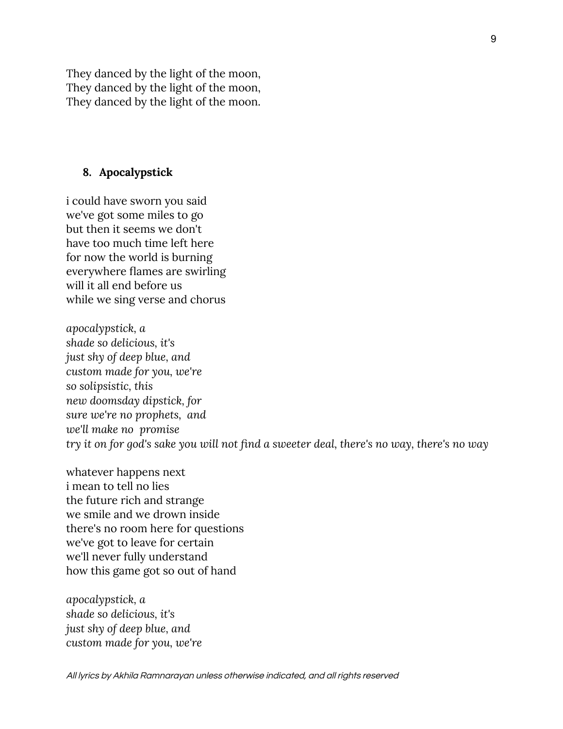They danced by the light of the moon, They danced by the light of the moon, They danced by the light of the moon.

### **8. Apocalypstick**

i could have sworn you said we've got some miles to go but then it seems we don't have too much time left here for now the world is burning everywhere flames are swirling will it all end before us while we sing verse and chorus

*apocalypstick, a shade so delicious, it's just shy of deep blue, and custom made for you, we're so solipsistic, this new doomsday dipstick, for sure we're no prophets, and we'll make no promise try it on for god's sake you will not find a sweeter deal, there's no way, there's no way*

whatever happens next i mean to tell no lies the future rich and strange we smile and we drown inside there's no room here for questions we've got to leave for certain we'll never fully understand how this game got so out of hand

*apocalypstick, a shade so delicious, it's just shy of deep blue, and custom made for you, we're*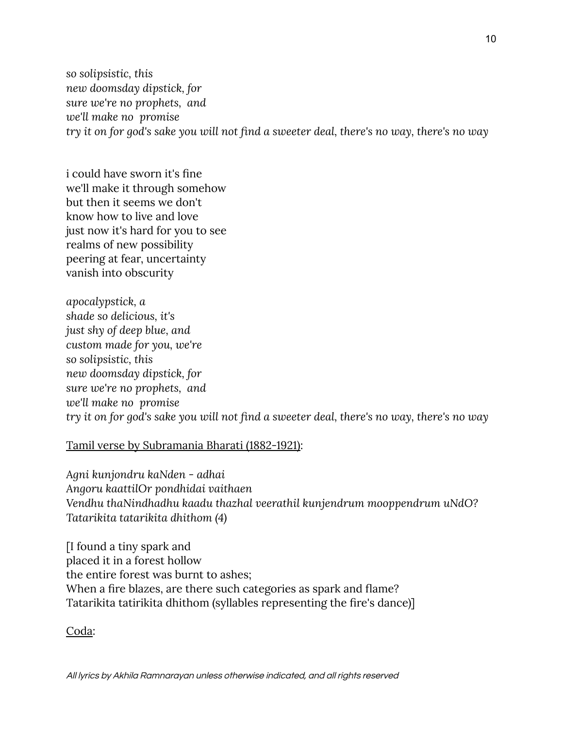*so solipsistic, this new doomsday dipstick, for sure we're no prophets, and we'll make no promise try it on for god's sake you will not find a sweeter deal, there's no way, there's no way*

i could have sworn it's fine we'll make it through somehow but then it seems we don't know how to live and love just now it's hard for you to see realms of new possibility peering at fear, uncertainty vanish into obscurity

*apocalypstick, a shade so delicious, it's just shy of deep blue, and custom made for you, we're so solipsistic, this new doomsday dipstick, for sure we're no prophets, and we'll make no promise try it on for god's sake you will not find a sweeter deal, there's no way, there's no way*

# Tamil verse by Subramania Bharati (1882-1921):

*Agni kunjondru kaNden - adhai Angoru kaattilOr pondhidai vaithaen Vendhu thaNindhadhu kaadu thazhal veerathil kunjendrum mooppendrum uNdO? Tatarikita tatarikita dhithom (4)*

[I found a tiny spark and placed it in a forest hollow the entire forest was burnt to ashes; When a fire blazes, are there such categories as spark and flame? Tatarikita tatirikita dhithom (syllables representing the fire's dance)]

Coda: